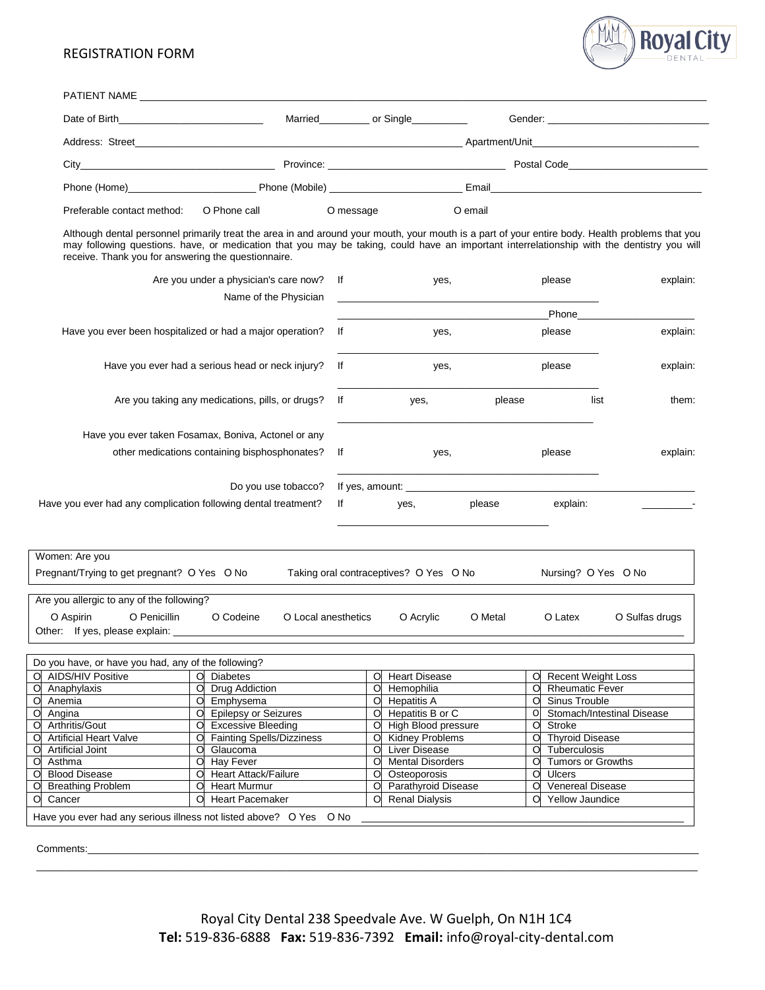## REGISTRATION FORM



|                                                                                                                                                                                                                                                                                                                                                      |   |                                                          |                             |           | Married____________ or Single___________                                                  |         |                                                  | Gender: Contract Contract Contract Contract Contract Contract Contract Contract Contract Contract Contract Contract Contract Contract Contract Contract Contract Contract Contract Contract Contract Contract Contract Contrac |                |
|------------------------------------------------------------------------------------------------------------------------------------------------------------------------------------------------------------------------------------------------------------------------------------------------------------------------------------------------------|---|----------------------------------------------------------|-----------------------------|-----------|-------------------------------------------------------------------------------------------|---------|--------------------------------------------------|--------------------------------------------------------------------------------------------------------------------------------------------------------------------------------------------------------------------------------|----------------|
|                                                                                                                                                                                                                                                                                                                                                      |   |                                                          |                             |           |                                                                                           |         |                                                  |                                                                                                                                                                                                                                |                |
|                                                                                                                                                                                                                                                                                                                                                      |   |                                                          |                             |           |                                                                                           |         |                                                  |                                                                                                                                                                                                                                |                |
|                                                                                                                                                                                                                                                                                                                                                      |   |                                                          |                             |           |                                                                                           |         |                                                  |                                                                                                                                                                                                                                |                |
| Preferable contact method:                                                                                                                                                                                                                                                                                                                           |   | O Phone call                                             |                             | O message |                                                                                           | O email |                                                  |                                                                                                                                                                                                                                |                |
| Although dental personnel primarily treat the area in and around your mouth, your mouth is a part of your entire body. Health problems that you<br>may following questions. have, or medication that you may be taking, could have an important interrelationship with the dentistry you will<br>receive. Thank you for answering the questionnaire. |   |                                                          |                             |           |                                                                                           |         |                                                  |                                                                                                                                                                                                                                |                |
|                                                                                                                                                                                                                                                                                                                                                      |   | Are you under a physician's care now?                    | lf<br>Name of the Physician |           | yes,                                                                                      |         | please                                           |                                                                                                                                                                                                                                | explain:       |
|                                                                                                                                                                                                                                                                                                                                                      |   |                                                          |                             |           | the control of the control of the control of the control of the control of the control of |         |                                                  | <b>Phone Contract Phone</b>                                                                                                                                                                                                    |                |
| Have you ever been hospitalized or had a major operation?                                                                                                                                                                                                                                                                                            |   |                                                          | lf                          |           | yes,                                                                                      |         | please                                           |                                                                                                                                                                                                                                | explain:       |
|                                                                                                                                                                                                                                                                                                                                                      |   |                                                          |                             |           |                                                                                           |         |                                                  |                                                                                                                                                                                                                                |                |
| Have you ever had a serious head or neck injury?                                                                                                                                                                                                                                                                                                     |   |                                                          | lf                          |           | yes,                                                                                      |         | please                                           |                                                                                                                                                                                                                                | explain:       |
| Are you taking any medications, pills, or drugs?                                                                                                                                                                                                                                                                                                     |   |                                                          | lf                          |           | yes,                                                                                      | please  |                                                  | list                                                                                                                                                                                                                           | them:          |
| Have you ever taken Fosamax, Boniva, Actonel or any                                                                                                                                                                                                                                                                                                  |   |                                                          |                             |           |                                                                                           |         |                                                  |                                                                                                                                                                                                                                |                |
|                                                                                                                                                                                                                                                                                                                                                      |   | other medications containing bisphosphonates?            | lf                          |           | yes,                                                                                      |         | please                                           |                                                                                                                                                                                                                                | explain:       |
|                                                                                                                                                                                                                                                                                                                                                      |   |                                                          |                             |           |                                                                                           |         |                                                  |                                                                                                                                                                                                                                |                |
| Have you ever had any complication following dental treatment?                                                                                                                                                                                                                                                                                       |   |                                                          | Do you use tobacco?<br>lf   |           | yes,                                                                                      | please  | explain:                                         |                                                                                                                                                                                                                                |                |
| Women: Are you                                                                                                                                                                                                                                                                                                                                       |   |                                                          |                             |           |                                                                                           |         |                                                  |                                                                                                                                                                                                                                |                |
| Pregnant/Trying to get pregnant? O Yes O No                                                                                                                                                                                                                                                                                                          |   |                                                          |                             |           | Taking oral contraceptives? O Yes O No                                                    |         |                                                  | Nursing? O Yes O No                                                                                                                                                                                                            |                |
|                                                                                                                                                                                                                                                                                                                                                      |   |                                                          |                             |           |                                                                                           |         |                                                  |                                                                                                                                                                                                                                |                |
| Are you allergic to any of the following?<br>O Penicillin<br>O Aspirin<br>Other: If yes, please explain: ________________                                                                                                                                                                                                                            |   | O Codeine                                                | O Local anesthetics         |           | O Acrylic                                                                                 | O Metal | O Latex                                          |                                                                                                                                                                                                                                | O Sulfas drugs |
| Do you have, or have you had, any of the following?                                                                                                                                                                                                                                                                                                  |   |                                                          |                             |           |                                                                                           |         |                                                  |                                                                                                                                                                                                                                |                |
| <b>AIDS/HIV Positive</b>                                                                                                                                                                                                                                                                                                                             |   | O Diabetes                                               |                             | O         | <b>Heart Disease</b>                                                                      |         | O                                                | <b>Recent Weight Loss</b>                                                                                                                                                                                                      |                |
| Anaphylaxis                                                                                                                                                                                                                                                                                                                                          | O | <b>Drug Addiction</b>                                    |                             | $\circ$   | Hemophilia                                                                                |         | O                                                | <b>Rheumatic Fever</b>                                                                                                                                                                                                         |                |
|                                                                                                                                                                                                                                                                                                                                                      | O | Emphysema                                                |                             | $\circ$   | <b>Hepatitis A</b>                                                                        |         | Sinus Trouble<br>O                               |                                                                                                                                                                                                                                |                |
| Anemia                                                                                                                                                                                                                                                                                                                                               | O | <b>Epilepsy or Seizures</b>                              |                             | O         | Hepatitis B or C                                                                          |         | O                                                | Stomach/Intestinal Disease                                                                                                                                                                                                     |                |
| Angina                                                                                                                                                                                                                                                                                                                                               |   | <b>Excessive Bleeding</b><br>O Fainting Spells/Dizziness |                             | O         | High Blood pressure                                                                       |         | O<br>Stroke<br>$\circ$<br><b>Thyroid Disease</b> |                                                                                                                                                                                                                                |                |
| Arthritis/Gout                                                                                                                                                                                                                                                                                                                                       | O |                                                          |                             |           |                                                                                           |         |                                                  |                                                                                                                                                                                                                                |                |
| <b>Artificial Heart Valve</b>                                                                                                                                                                                                                                                                                                                        |   |                                                          |                             | $\circ$   | <b>Kidney Problems</b>                                                                    |         |                                                  |                                                                                                                                                                                                                                |                |
| <b>Artificial Joint</b>                                                                                                                                                                                                                                                                                                                              | O | Glaucoma                                                 |                             | O         | Liver Disease                                                                             |         | Tuberculosis<br>O                                |                                                                                                                                                                                                                                |                |
| Asthma                                                                                                                                                                                                                                                                                                                                               |   | O Hay Fever                                              |                             | O         | <b>Mental Disorders</b>                                                                   |         | O                                                | Tumors or Growths                                                                                                                                                                                                              |                |
| <b>Blood Disease</b><br><b>Breathing Problem</b>                                                                                                                                                                                                                                                                                                     |   | O Heart Attack/Failure<br>O Heart Murmur                 |                             | $\circ$   | Osteoporosis<br>O Parathyroid Disease                                                     |         | O<br><b>Ulcers</b><br>O                          | <b>Venereal Disease</b>                                                                                                                                                                                                        |                |

Comments:\_\_\_\_\_\_\_\_\_\_\_\_\_\_\_\_\_\_\_\_\_\_\_\_\_\_\_\_\_\_\_\_\_\_\_\_\_\_\_\_\_\_\_\_\_\_\_\_\_\_\_\_\_\_\_\_\_\_\_\_\_\_\_\_\_\_\_\_\_\_\_\_\_\_\_\_\_\_\_\_\_\_\_\_\_\_\_\_\_\_\_\_\_\_\_\_\_\_\_\_\_\_\_\_\_\_\_\_\_\_

\_\_\_\_\_\_\_\_\_\_\_\_\_\_\_\_\_\_\_\_\_\_\_\_\_\_\_\_\_\_\_\_\_\_\_\_\_\_\_\_\_\_\_\_\_\_\_\_\_\_\_\_\_\_\_\_\_\_\_\_\_\_\_\_\_\_\_\_\_\_\_\_\_\_\_\_\_\_\_\_\_\_\_\_\_\_\_\_\_\_\_\_\_\_\_\_\_\_\_\_\_\_\_\_\_\_\_\_\_\_\_\_\_\_\_\_\_\_\_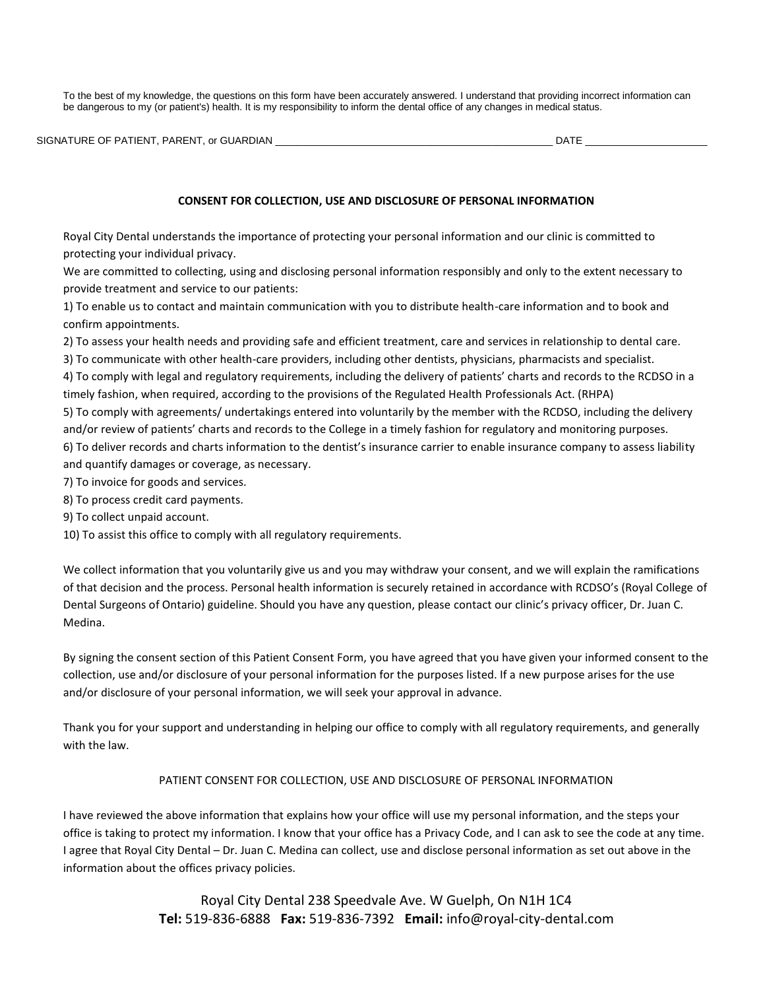To the best of my knowledge, the questions on this form have been accurately answered. I understand that providing incorrect information can be dangerous to my (or patient's) health. It is my responsibility to inform the dental office of any changes in medical status.

|  | SIGNATURE OF PATIENT, PARENT, or GUARDIAN | <b>DATE</b> |  |
|--|-------------------------------------------|-------------|--|
|--|-------------------------------------------|-------------|--|

## **CONSENT FOR COLLECTION, USE AND DISCLOSURE OF PERSONAL INFORMATION**

Royal City Dental understands the importance of protecting your personal information and our clinic is committed to protecting your individual privacy.

We are committed to collecting, using and disclosing personal information responsibly and only to the extent necessary to provide treatment and service to our patients:

1) To enable us to contact and maintain communication with you to distribute health-care information and to book and confirm appointments.

2) To assess your health needs and providing safe and efficient treatment, care and services in relationship to dental care.

3) To communicate with other health-care providers, including other dentists, physicians, pharmacists and specialist.

4) To comply with legal and regulatory requirements, including the delivery of patients' charts and records to the RCDSO in a timely fashion, when required, according to the provisions of the Regulated Health Professionals Act. (RHPA)

5) To comply with agreements/ undertakings entered into voluntarily by the member with the RCDSO, including the delivery and/or review of patients' charts and records to the College in a timely fashion for regulatory and monitoring purposes. 6) To deliver records and charts information to the dentist's insurance carrier to enable insurance company to assess liability and quantify damages or coverage, as necessary.

7) To invoice for goods and services.

8) To process credit card payments.

9) To collect unpaid account.

10) To assist this office to comply with all regulatory requirements.

We collect information that you voluntarily give us and you may withdraw your consent, and we will explain the ramifications of that decision and the process. Personal health information is securely retained in accordance with RCDSO's (Royal College of Dental Surgeons of Ontario) guideline. Should you have any question, please contact our clinic's privacy officer, Dr. Juan C. Medina.

By signing the consent section of this Patient Consent Form, you have agreed that you have given your informed consent to the collection, use and/or disclosure of your personal information for the purposes listed. If a new purpose arises for the use and/or disclosure of your personal information, we will seek your approval in advance.

Thank you for your support and understanding in helping our office to comply with all regulatory requirements, and generally with the law.

# PATIENT CONSENT FOR COLLECTION, USE AND DISCLOSURE OF PERSONAL INFORMATION

I have reviewed the above information that explains how your office will use my personal information, and the steps your office is taking to protect my information. I know that your office has a Privacy Code, and I can ask to see the code at any time. I agree that Royal City Dental – Dr. Juan C. Medina can collect, use and disclose personal information as set out above in the information about the offices privacy policies.

> Royal City Dental 238 Speedvale Ave. W Guelph, On N1H 1C4 **Tel:** 519-836-6888 **Fax:** 519-836-7392 **Email:** info@royal-city-dental.com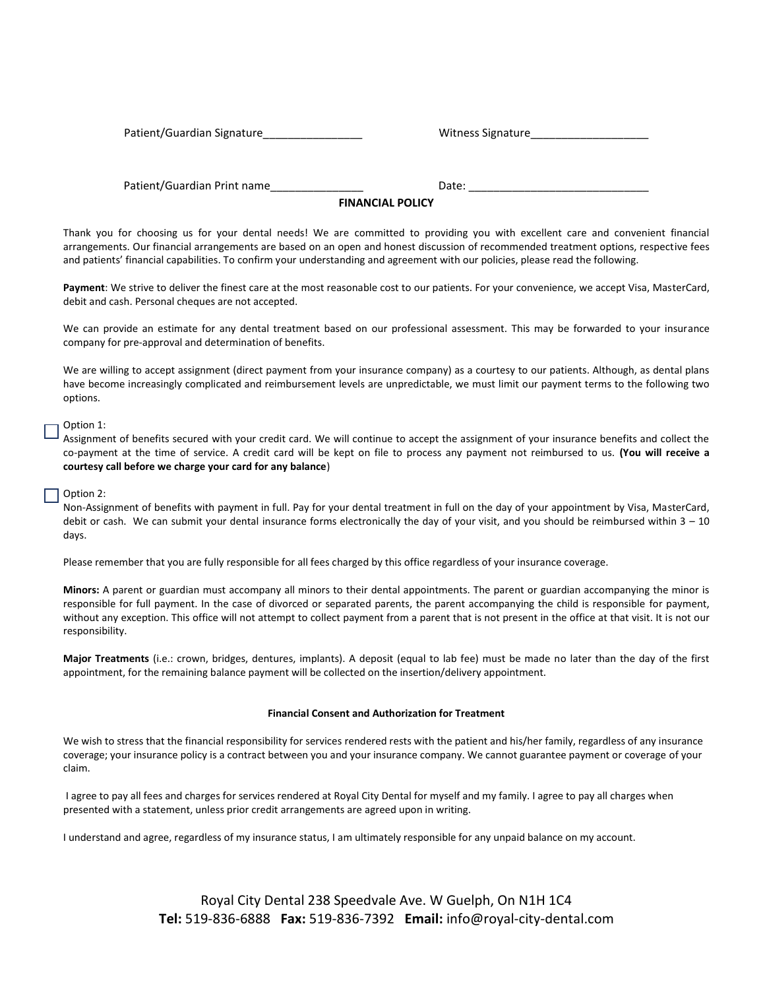Patient/Guardian Signature et al. 2010 and 2011 witness Signature

Patient/Guardian Print name example and pate:

### **FINANCIAL POLICY**

Thank you for choosing us for your dental needs! We are committed to providing you with excellent care and convenient financial arrangements. Our financial arrangements are based on an open and honest discussion of recommended treatment options, respective fees and patients' financial capabilities. To confirm your understanding and agreement with our policies, please read the following.

Payment: We strive to deliver the finest care at the most reasonable cost to our patients. For your convenience, we accept Visa, MasterCard, debit and cash. Personal cheques are not accepted.

We can provide an estimate for any dental treatment based on our professional assessment. This may be forwarded to your insurance company for pre-approval and determination of benefits.

We are willing to accept assignment (direct payment from your insurance company) as a courtesy to our patients. Although, as dental plans have become increasingly complicated and reimbursement levels are unpredictable, we must limit our payment terms to the following two options.

### Option 1:

Assignment of benefits secured with your credit card. We will continue to accept the assignment of your insurance benefits and collect the co-payment at the time of service. A credit card will be kept on file to process any payment not reimbursed to us. **(You will receive a courtesy call before we charge your card for any balance**)

#### Option 2:

Non-Assignment of benefits with payment in full. Pay for your dental treatment in full on the day of your appointment by Visa, MasterCard, debit or cash. We can submit your dental insurance forms electronically the day of your visit, and you should be reimbursed within  $3 - 10$ days.

Please remember that you are fully responsible for all fees charged by this office regardless of your insurance coverage.

**Minors:** A parent or guardian must accompany all minors to their dental appointments. The parent or guardian accompanying the minor is responsible for full payment. In the case of divorced or separated parents, the parent accompanying the child is responsible for payment, without any exception. This office will not attempt to collect payment from a parent that is not present in the office at that visit. It is not our responsibility.

**Major Treatments** (i.e.: crown, bridges, dentures, implants). A deposit (equal to lab fee) must be made no later than the day of the first appointment, for the remaining balance payment will be collected on the insertion/delivery appointment.

#### **Financial Consent and Authorization for Treatment**

We wish to stress that the financial responsibility for services rendered rests with the patient and his/her family, regardless of any insurance coverage; your insurance policy is a contract between you and your insurance company. We cannot guarantee payment or coverage of your claim.

I agree to pay all fees and charges for services rendered at Royal City Dental for myself and my family. I agree to pay all charges when presented with a statement, unless prior credit arrangements are agreed upon in writing.

I understand and agree, regardless of my insurance status, I am ultimately responsible for any unpaid balance on my account.

Royal City Dental 238 Speedvale Ave. W Guelph, On N1H 1C4 **Tel:** 519-836-6888 **Fax:** 519-836-7392 **Email:** info@royal-city-dental.com